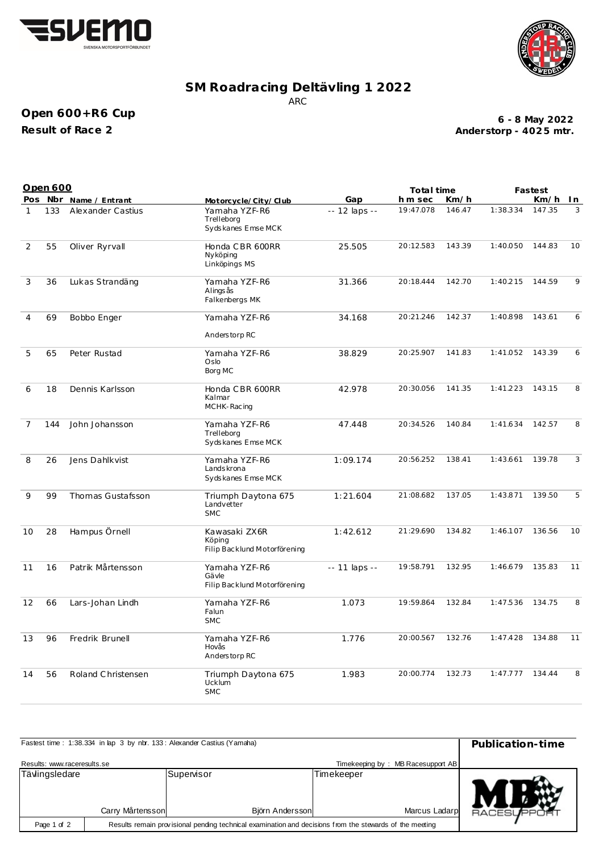



## **SM Roadracing Deltävling 1 2022** ARC

## **Open 600+R6 Cup Result of Race 2**

**Anderstorp - 402 5 mtr. 6 - 8 May 2022**

|                | Open 600 |                        |                                                         |                     | Total time |        | Fastest  |        |    |
|----------------|----------|------------------------|---------------------------------------------------------|---------------------|------------|--------|----------|--------|----|
|                |          | Pos Nbr Name / Entrant | Motorcycle/City/Club                                    | Gap                 | h m sec    | Km/h   |          | Km/h   | In |
| $\mathbf{1}$   | 133      | Alexander Castius      | Yamaha YZF-R6<br>Trelleborg<br>Sydskanes Emse MCK       | -- 12 laps --       | 19:47.078  | 146.47 | 1:38.334 | 147.35 | 3  |
| $\overline{2}$ | 55       | Oliver Ryrvall         | Honda CBR 600RR<br>Nyköping<br>Linköpings MS            | 25.505              | 20:12.583  | 143.39 | 1:40.050 | 144.83 | 10 |
| 3              | 36       | Lukas Strandäng        | Yamaha YZF-R6<br>Alings ås<br>Falkenbergs MK            | 31.366              | 20:18.444  | 142.70 | 1:40.215 | 144.59 | 9  |
| 4              | 69       | Bobbo Enger            | Yamaha YZF-R6                                           | 34.168              | 20:21.246  | 142.37 | 1:40.898 | 143.61 | 6  |
|                |          |                        | Anderstorp RC                                           |                     |            |        |          |        |    |
| 5              | 65       | Peter Rustad           | Yamaha YZF-R6<br>Oslo<br>Borg MC                        | 38.829              | 20:25.907  | 141.83 | 1:41.052 | 143.39 | 6  |
| 6              | 18       | Dennis Karlsson        | Honda CBR 600RR<br>Kalmar<br>MCHK-Racing                | 42.978              | 20:30.056  | 141.35 | 1:41.223 | 143.15 | 8  |
| 7              | 144      | John Johansson         | Yamaha YZF-R6<br>Trelleborg<br>Sydskanes Emse MCK       | 47.448              | 20:34.526  | 140.84 | 1:41.634 | 142.57 | 8  |
| 8              | 26       | Jens Dahlkvist         | Yamaha YZF-R6<br>Lands krona<br>Sydskanes Emse MCK      | 1:09.174            | 20:56.252  | 138.41 | 1:43.661 | 139.78 | 3  |
| 9              | 99       | Thomas Gustafsson      | Triumph Daytona 675<br>Landvetter<br><b>SMC</b>         | 1:21.604            | 21:08.682  | 137.05 | 1:43.871 | 139.50 | 5  |
| 10             | 28       | Hampus Örnell          | Kawasaki ZX6R<br>Köping<br>Filip Backlund Motorförening | 1:42.612            | 21:29.690  | 134.82 | 1:46.107 | 136.56 | 10 |
| 11             | 16       | Patrik Mårtensson      | Yamaha YZF-R6<br>Gävle<br>Filip Backlund Motorförening  | $- - 11$ laps $- -$ | 19:58.791  | 132.95 | 1:46.679 | 135.83 | 11 |
| 12             | 66       | Lars-Johan Lindh       | Yamaha YZF-R6<br>Falun<br><b>SMC</b>                    | 1.073               | 19:59.864  | 132.84 | 1:47.536 | 134.75 | 8  |
| 13             | 96       | Fredrik Brunell        | Yamaha YZF-R6<br>Hovås<br>Anderstorp RC                 | 1.776               | 20:00.567  | 132.76 | 1:47.428 | 134.88 | 11 |
| 14             | 56       | Roland Christensen     | Triumph Daytona 675<br>Ucklum<br><b>SMC</b>             | 1.983               | 20:00.774  | 132.73 | 1:47.777 | 134.44 | 8  |

| Fastest time: 1:38.334 in lap 3 by nbr. 133: Alexander Castius (Yamaha) | Publication-time |                                                                                                         |  |                                   |  |
|-------------------------------------------------------------------------|------------------|---------------------------------------------------------------------------------------------------------|--|-----------------------------------|--|
| Results: www.raceresults.se                                             |                  |                                                                                                         |  | Timekeeping by: MB Racesupport AB |  |
| Tävlingsledare                                                          | Carry Mårtensson | Supenisor<br>Timekeeper<br>Marcus Ladarp<br>Björn Andersson                                             |  | <b>RACESUPR</b>                   |  |
| Page 1 of 2                                                             |                  | Results remain provisional pending technical examination and decisions from the stewards of the meeting |  |                                   |  |